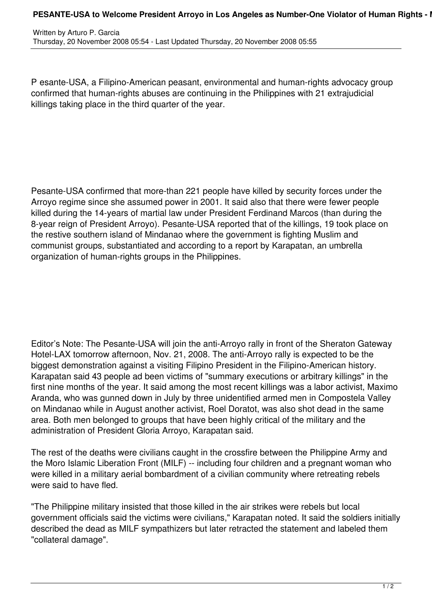P esante-USA, a Filipino-American peasant, environmental and human-rights advocacy group confirmed that human-rights abuses are continuing in the Philippines with 21 extrajudicial killings taking place in the third quarter of the year.

Pesante-USA confirmed that more-than 221 people have killed by security forces under the Arroyo regime since she assumed power in 2001. It said also that there were fewer people killed during the 14-years of martial law under President Ferdinand Marcos (than during the 8-year reign of President Arroyo). Pesante-USA reported that of the killings, 19 took place on the restive southern island of Mindanao where the government is fighting Muslim and communist groups, substantiated and according to a report by Karapatan, an umbrella organization of human-rights groups in the Philippines.

Editor's Note: The Pesante-USA will join the anti-Arroyo rally in front of the Sheraton Gateway Hotel-LAX tomorrow afternoon, Nov. 21, 2008. The anti-Arroyo rally is expected to be the biggest demonstration against a visiting Filipino President in the Filipino-American history. Karapatan said 43 people ad been victims of "summary executions or arbitrary killings" in the first nine months of the year. It said among the most recent killings was a labor activist, Maximo Aranda, who was gunned down in July by three unidentified armed men in Compostela Valley on Mindanao while in August another activist, Roel Doratot, was also shot dead in the same area. Both men belonged to groups that have been highly critical of the military and the administration of President Gloria Arroyo, Karapatan said.

The rest of the deaths were civilians caught in the crossfire between the Philippine Army and the Moro Islamic Liberation Front (MILF) -- including four children and a pregnant woman who were killed in a military aerial bombardment of a civilian community where retreating rebels were said to have fled.

"The Philippine military insisted that those killed in the air strikes were rebels but local government officials said the victims were civilians," Karapatan noted. It said the soldiers initially described the dead as MILF sympathizers but later retracted the statement and labeled them "collateral damage".